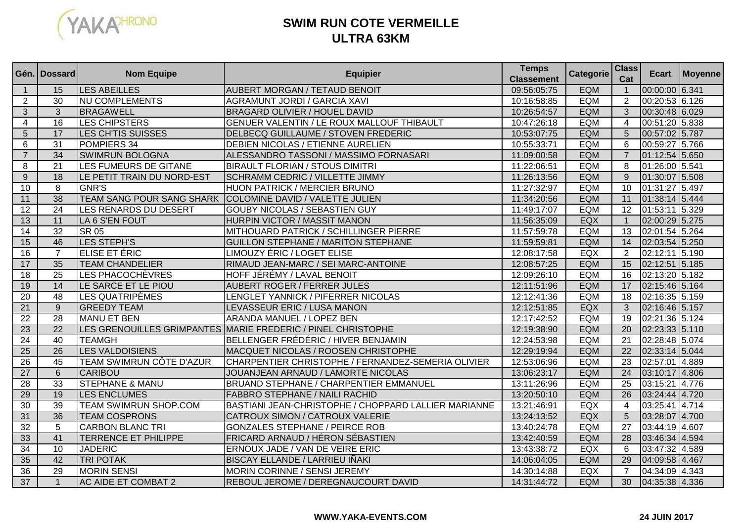

## **SWIM RUN COTE VERMEILLEULTRA 63KM**

|                                | Gén. I Dossard  | <b>Nom Equipe</b>                            | <b>Equipier</b>                                                             | <b>Temps</b>                     | Categorie                | <b>Class</b>        | <b>Ecart</b>                     | Moyenne |
|--------------------------------|-----------------|----------------------------------------------|-----------------------------------------------------------------------------|----------------------------------|--------------------------|---------------------|----------------------------------|---------|
|                                | 15              |                                              |                                                                             | <b>Classement</b><br>09:56:05:75 |                          | Cat                 |                                  |         |
| $\mathbf{1}$<br>$\overline{2}$ | 30              | <b>LES ABEILLES</b><br><b>NU COMPLEMENTS</b> | <b>AUBERT MORGAN / TETAUD BENOIT</b><br><b>AGRAMUNT JORDI / GARCIA XAVI</b> | 10:16:58:85                      | <b>EQM</b><br><b>EQM</b> | $\overline{1}$<br>2 | 00:00:00 6.341<br>00:20:53 6.126 |         |
| 3                              | 3               | <b>BRAGAWELL</b>                             | <b>BRAGARD OLIVIER / HOUEL DAVID</b>                                        | 10:26:54:57                      | EQM                      | 3                   | 00:30:48 6.029                   |         |
| $\overline{\mathbf{4}}$        | 16              | <b>LES CHIPSTERS</b>                         | GENUER VALENTIN / LE ROUX MALLOUF THIBAULT                                  | 10:47:26:18                      | <b>EQM</b>               | $\overline{4}$      | 00:51:20 5.838                   |         |
| 5                              | 17              | LES CH'TIS SUISSES                           | DELBECQ GUILLAUME / STOVEN FREDERIC                                         | 10:53:07:75                      | <b>EQM</b>               | $5\overline{)}$     | 00:57:02 5.787                   |         |
| 6                              | 31              | POMPIERS 34                                  | DEBIEN NICOLAS / ETIENNE AURELIEN                                           | 10:55:33:71                      | <b>EQM</b>               | $6\phantom{1}6$     | 00:59:27 5.766                   |         |
| $\overline{7}$                 | $\overline{34}$ | <b>SWIMRUN BOLOGNA</b>                       | ALESSANDRO TASSONI / MASSIMO FORNASARI                                      | 11:09:00:58                      | <b>EQM</b>               | $\overline{7}$      | 01:12:54 5.650                   |         |
| 8                              | 21              | LES FUMEURS DE GITANE                        | <b>BIRAULT FLORIAN / STOUS DIMITRI</b>                                      | 11:22:06:51                      | <b>EQM</b>               | 8                   | 01:26:00 5.541                   |         |
| 9                              | 18              | LE PETIT TRAIN DU NORD-EST                   | <b>SCHRAMM CEDRIC / VILLETTE JIMMY</b>                                      | 11:26:13:56                      | EQM                      | 9                   | 01:30:07 5.508                   |         |
| 10                             | 8               | <b>GNR'S</b>                                 | <b>HUON PATRICK / MERCIER BRUNO</b>                                         | 11:27:32:97                      | <b>EQM</b>               | $\overline{10}$     | 01:31:27 5.497                   |         |
| 11                             | 38              | TEAM SANG POUR SANG SHARK                    | COLOMINE DAVID / VALETTE JULIEN                                             | 11:34:20:56                      | <b>EQM</b>               | 11                  | 01:38:14 5.444                   |         |
| 12                             | 24              | LES RENARDS DU DESERT                        | <b>GOUBY NICOLAS / SEBASTIEN GUY</b>                                        | 11:49:17:07                      | <b>EQM</b>               | 12                  | 01:53:11 5.329                   |         |
| 13                             | 11              | LA 6 S'EN FOUT                               | HURPIN VICTOR / MASSIT MANON                                                | 11:56:35:09                      | EQX                      | $\overline{1}$      | 02:00:29 5.275                   |         |
| 14                             | $\overline{32}$ | <b>SR 05</b>                                 | MITHOUARD PATRICK / SCHILLINGER PIERRE                                      | 11:57:59:78                      | <b>EQM</b>               | 13                  | 02:01:54 5.264                   |         |
| 15                             | 46              | LES STEPH'S                                  | <b>GUILLON STEPHANE / MARITON STEPHANE</b>                                  | 11:59:59:81                      | EQM                      | 14                  | 02:03:54 5.250                   |         |
| 16                             | $\overline{7}$  | ELISE ET ÉRIC                                | <b>LIMOUZY ÉRIC / LOGET ELISE</b>                                           | 12:08:17:58                      | EQX                      | 2                   | 02:12:11 5.190                   |         |
| 17                             | $\overline{35}$ | <b>TEAM CHANDELIER</b>                       | RIMAUD JEAN-MARC / SEI MARC-ANTOINE                                         | 12:08:57:25                      | <b>EQM</b>               | 15                  | 02:12:51 5.185                   |         |
| 18                             | $\overline{25}$ | LES PHACOCHÈVRES                             | HOFF JÉRÉMY / LAVAL BENOIT                                                  | 12:09:26:10                      | <b>EQM</b>               | 16                  | 02:13:20 5.182                   |         |
| 19                             | 14              | LE SARCE ET LE PIOU                          | AUBERT ROGER / FERRER JULES                                                 | 12:11:51:96                      | <b>EQM</b>               | 17                  | 02:15:46 5.164                   |         |
| 20                             | $\overline{48}$ | LES QUATRIPÈMES                              | LENGLET YANNICK / PIFERRER NICOLAS                                          | 12:12:41:36                      | <b>EQM</b>               | 18                  | 02:16:35 5.159                   |         |
| $\overline{21}$                | 9               | <b>GREEDY TEAM</b>                           | LEVASSEUR ERIC / LUSA MANON                                                 | 12:12:51:85                      | EQX                      | $\mathbf{3}$        | 02:16:46 5.157                   |         |
| 22                             | 28              | <b>MANU ET BEN</b>                           | ARANDA MANUEL / LOPEZ BEN                                                   | 12:17:42:52                      | <b>EQM</b>               | 19                  | 02:21:36 5.124                   |         |
| 23                             | $\overline{22}$ |                                              | LES GRENOUILLES GRIMPANTES MARIE FREDERIC / PINEL CHRISTOPHE                | 12:19:38:90                      | <b>EQM</b>               | $\overline{20}$     | 02:23:33 5.110                   |         |
| $\overline{24}$                | 40              | <b>TEAMGH</b>                                | BELLENGER FRÉDÉRIC / HIVER BENJAMIN                                         | 12:24:53:98                      | <b>EQM</b>               | $\overline{21}$     | 02:28:48 5.074                   |         |
| 25                             | $\overline{26}$ | <b>LES VALDOISIENS</b>                       | MACQUET NICOLAS / ROOSEN CHRISTOPHE                                         | 12:29:19:94                      | EQM                      | 22                  | 02:33:14 5.044                   |         |
| $\overline{26}$                | $\overline{45}$ | TEAM SWIMRUN CÔTE D'AZUR                     | CHARPENTIER CHRISTOPHE / FERNANDEZ-SEMERIA OLIVIER                          | 12:53:06:96                      | <b>EQM</b>               | 23                  | 02:57:01 4.889                   |         |
| $\overline{27}$                | $6\overline{6}$ | <b>CARIBOU</b>                               | JOUANJEAN ARNAUD / LAMORTE NICOLAS                                          | 13:06:23:17                      | <b>EQM</b>               | $\overline{24}$     | 03:10:17 4.806                   |         |
| $\overline{28}$                | $\overline{33}$ | <b>STEPHANE &amp; MANU</b>                   | BRUAND STEPHANE / CHARPENTIER EMMANUEL                                      | 13:11:26:96                      | <b>EQM</b>               | $\overline{25}$     | 03:15:21 4.776                   |         |
| 29                             | 19              | <b>LES ENCLUMES</b>                          | <b>FABBRO STEPHANE / NAILI RACHID</b>                                       | 13:20:50:10                      | <b>EQM</b>               | 26                  | 03:24:44 4.720                   |         |
| 30                             | 39              | TEAM SWIMRUN SHOP.COM                        | BASTIANI JEAN-CHRISTOPHE / CHOPPARD LALLIER MARIANNE                        | 13:21:46:91                      | EQX                      | $\overline{4}$      | 03:25:41 4.714                   |         |
| 31                             | 36              | <b>TEAM COSPRONS</b>                         | <b>CATROUX SIMON / CATROUX VALERIE</b>                                      | 13:24:13:52                      | EQX                      | 5                   | 03:28:07 4.700                   |         |
| $\overline{32}$                | 5               | <b>CARBON BLANC TRI</b>                      | <b>GONZALES STEPHANE / PEIRCE ROB</b>                                       | 13:40:24:78                      | <b>EQM</b>               | $\overline{27}$     | 03:44:19 4.607                   |         |
| 33                             | 41              | TERRENCE ET PHILIPPE                         | FRICARD ARNAUD / HÉRON SÉBASTIEN                                            | 13:42:40:59                      | <b>EQM</b>               | 28                  | 03:46:34 4.594                   |         |
| 34                             | 10              | <b>JADERIC</b>                               | ERNOUX JADE / VAN DE VEIRE ERIC                                             | 13:43:38:72                      | <b>EQX</b>               | 6                   | 03:47:32 4.589                   |         |
| 35                             | 42              | <b>TRI POTAK</b>                             | <b>BISCAY ELLANDE / LARRIEU IÑAKI</b>                                       | 14:06:04:05                      | EQM                      | 29                  | 04:09:58 4.467                   |         |
| 36                             | 29              | <b>MORIN SENSI</b>                           | MORIN CORINNE / SENSI JEREMY                                                | 14:30:14:88                      | <b>EQX</b>               | $\overline{7}$      | 04:34:09 4.343                   |         |
| 37                             | $\overline{1}$  | <b>AC AIDE ET COMBAT 2</b>                   | REBOUL JEROME / DEREGNAUCOURT DAVID                                         | 14:31:44:72                      | <b>EQM</b>               | 30                  | 04:35:38 4.336                   |         |

## **WWW.YAKA-EVENTS.COM**